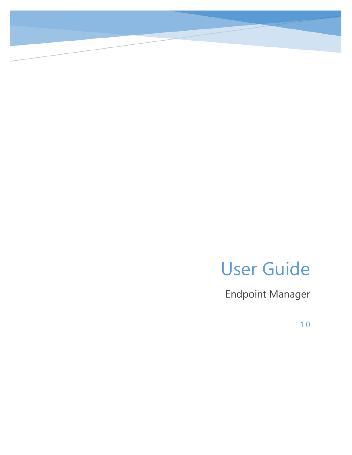# User Guide

Endpoint Manager

1.0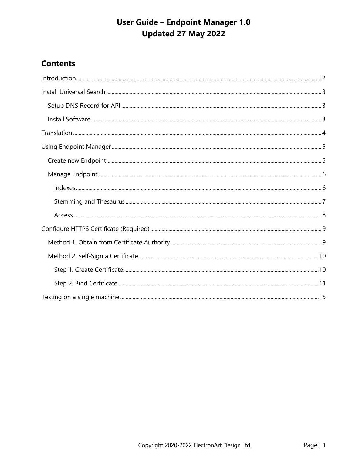# **User Guide - Endpoint Manager 1.0** Updated 27 May 2022

## **Contents**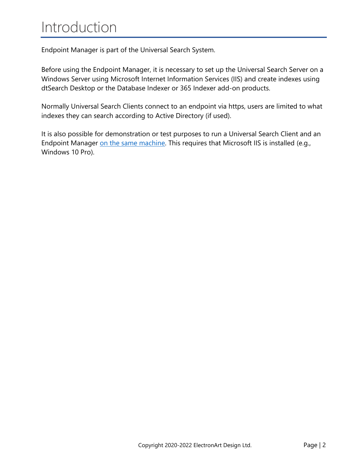# <span id="page-2-0"></span>Introduction

Endpoint Manager is part of the Universal Search System.

Before using the Endpoint Manager, it is necessary to set up the Universal Search Server on a Windows Server using Microsoft Internet Information Services (IIS) and create indexes using dtSearch Desktop or the Database Indexer or 365 Indexer add-on products.

Normally Universal Search Clients connect to an endpoint via https, users are limited to what indexes they can search according to Active Directory (if used).

It is also possible for demonstration or test purposes to run a Universal Search Client and an Endpoint Manager [on the same machine.](#page-15-0) This requires that Microsoft IIS is installed (e.g., Windows 10 Pro).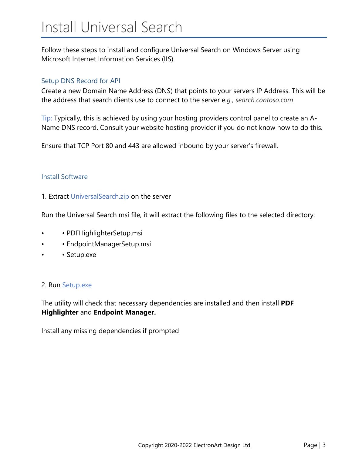# <span id="page-3-0"></span>Install Universal Search

Follow these steps to install and configure Universal Search on Windows Server using Microsoft Internet Information Services (IIS).

## <span id="page-3-1"></span>Setup DNS Record for API

Create a new Domain Name Address (DNS) that points to your servers IP Address. This will be the address that search clients use to connect to the server e*.g., search.contoso.com* 

Tip: Typically, this is achieved by using your hosting providers control panel to create an A-Name DNS record. Consult your website hosting provider if you do not know how to do this.

Ensure that TCP Port 80 and 443 are allowed inbound by your server's firewall.

### <span id="page-3-2"></span>Install Software

#### 1. Extract UniversalSearch.zip on the server

Run the Universal Search msi file, it will extract the following files to the selected directory:

- • PDFHighlighterSetup.msi
- EndpointManagerSetup.msi
- • Setup.exe

#### 2. Run Setup.exe

The utility will check that necessary dependencies are installed and then install **PDF Highlighter** and **Endpoint Manager.**

Install any missing dependencies if prompted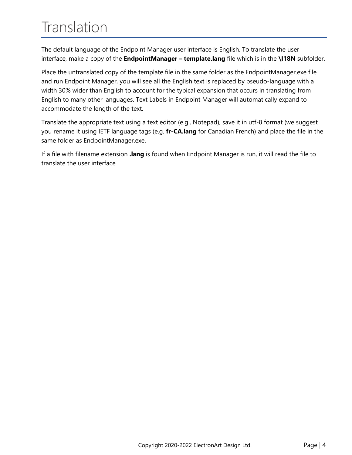# <span id="page-4-0"></span>Translation

The default language of the Endpoint Manager user interface is English. To translate the user interface, make a copy of the **EndpointManager – template.lang** file which is in the **\I18N** subfolder.

Place the untranslated copy of the template file in the same folder as the EndpointManager.exe file and run Endpoint Manager, you will see all the English text is replaced by pseudo-language with a width 30% wider than English to account for the typical expansion that occurs in translating from English to many other languages. Text Labels in Endpoint Manager will automatically expand to accommodate the length of the text.

Translate the appropriate text using a text editor (e.g., Notepad), save it in utf-8 format (we suggest you rename it using IETF language tags (e.g. **fr-CA.lang** for Canadian French) and place the file in the same folder as EndpointManager.exe.

If a file with filename extension **.lang** is found when Endpoint Manager is run, it will read the file to translate the user interface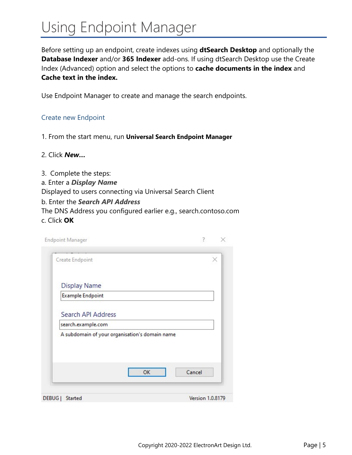# <span id="page-5-0"></span>Using Endpoint Manager

Before setting up an endpoint, create indexes using **dtSearch Desktop** and optionally the **Database Indexer** and/or **365 Indexer** add-ons. If using dtSearch Desktop use the Create Index (Advanced) option and select the options to **cache documents in the index** and **Cache text in the index.**

Use Endpoint Manager to create and manage the search endpoints.

## <span id="page-5-1"></span>Create new Endpoint

- 1. From the start menu, run **Universal Search Endpoint Manager**
- 2. Click *New…*
- 3. Complete the steps:
- a. Enter a *Display Name*

Displayed to users connecting via Universal Search Client

- b. Enter the *Search API Address*
- The DNS Address you configured earlier e.g., search.contoso.com c. Click **OK**

| Create Endpoint                                |    |        |
|------------------------------------------------|----|--------|
| <b>Display Name</b>                            |    |        |
| <b>Example Endpoint</b>                        |    |        |
| <b>Search API Address</b>                      |    |        |
| search.example.com                             |    |        |
| A subdomain of your organisation's domain name |    |        |
|                                                | OK | Cancel |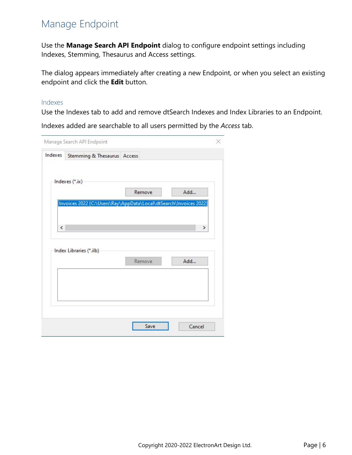# <span id="page-6-0"></span>Manage Endpoint

Use the **Manage Search API Endpoint** dialog to configure endpoint settings including Indexes, Stemming, Thesaurus and Access settings.

The dialog appears immediately after creating a new Endpoint, or when you select an existing endpoint and click the **Edit** button.

#### <span id="page-6-1"></span>Indexes

Use the Indexes tab to add and remove dtSearch Indexes and Index Libraries to an Endpoint.

Indexes added are searchable to all users permitted by the *Access* tab.

| Indexes                  | Manage Search API Endpoint<br>Stemming & Thesaurus Access         |        |     |
|--------------------------|-------------------------------------------------------------------|--------|-----|
|                          |                                                                   |        |     |
|                          |                                                                   |        |     |
|                          | Indexes (*.ix)                                                    |        |     |
|                          |                                                                   | Remove | Add |
|                          | Invoices 2022 [C:\Users\Ray\AppData\Local\dtSearch\Invoices 2022] |        |     |
|                          |                                                                   |        |     |
| $\overline{\phantom{a}}$ |                                                                   |        | X   |
|                          |                                                                   |        |     |
|                          |                                                                   |        |     |
|                          | Index Libraries (*.ilb)                                           |        |     |
|                          |                                                                   | Remove | Add |
|                          |                                                                   |        |     |
|                          |                                                                   |        |     |
|                          |                                                                   |        |     |
|                          |                                                                   |        |     |
|                          |                                                                   |        |     |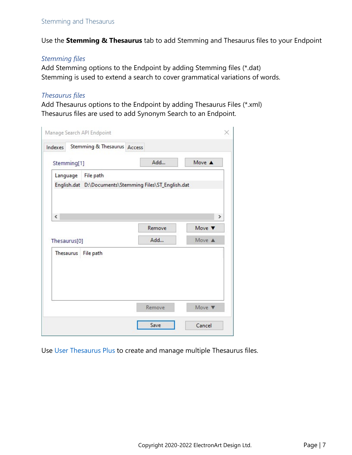<span id="page-7-0"></span>Use the **Stemming & Thesaurus** tab to add Stemming and Thesaurus files to your Endpoint

#### *Stemming files*

Add Stemming options to the Endpoint by adding Stemming files (\*.dat) Stemming is used to extend a search to cover grammatical variations of words.

### *Thesaurus files*

Add Thesaurus options to the Endpoint by adding Thesaurus Files (\*.xml) Thesaurus files are used to add Synonym Search to an Endpoint.

| Indexes                  | Stemming & Thesaurus Access |                                                        |                           |
|--------------------------|-----------------------------|--------------------------------------------------------|---------------------------|
| Stemming[1]              |                             | Add                                                    | Move A                    |
| Language                 | File path                   |                                                        |                           |
|                          |                             | English.dat D:\Documents\Stemming Files\ST_English.dat |                           |
|                          |                             |                                                        |                           |
|                          |                             |                                                        |                           |
| $\overline{\phantom{a}}$ |                             |                                                        | $\rightarrow$             |
|                          |                             | Remove                                                 | Move $\blacktriangledown$ |
|                          |                             |                                                        |                           |
|                          |                             | Add                                                    | Move A                    |
| Thesaurus                | File path                   |                                                        |                           |
|                          |                             |                                                        |                           |
| Thesaurus[0]             |                             |                                                        |                           |
|                          |                             |                                                        |                           |
|                          |                             |                                                        |                           |
|                          |                             | Remove                                                 | Move $\blacktriangledown$ |

Use User Thesaurus Plus to create and manage multiple Thesaurus files.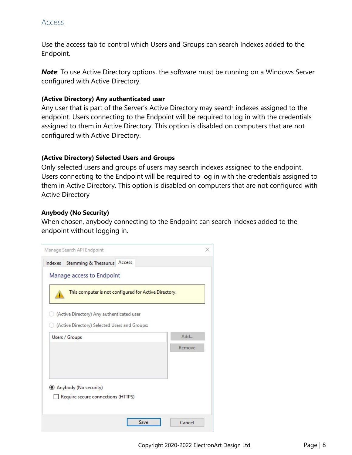### <span id="page-8-0"></span>Access

Use the access tab to control which Users and Groups can search Indexes added to the Endpoint.

*Note*: To use Active Directory options, the software must be running on a Windows Server configured with Active Directory.

#### **(Active Directory) Any authenticated user**

Any user that is part of the Server's Active Directory may search indexes assigned to the endpoint. Users connecting to the Endpoint will be required to log in with the credentials assigned to them in Active Directory. This option is disabled on computers that are not configured with Active Directory.

### **(Active Directory) Selected Users and Groups**

Only selected users and groups of users may search indexes assigned to the endpoint. Users connecting to the Endpoint will be required to log in with the credentials assigned to them in Active Directory. This option is disabled on computers that are not configured with Active Directory

### **Anybody (No Security)**

When chosen, anybody connecting to the Endpoint can search Indexes added to the endpoint without logging in.

| Indexes | Stemming & Thesaurus                                        | Access                                                |        |
|---------|-------------------------------------------------------------|-------------------------------------------------------|--------|
|         | Manage access to Endpoint                                   |                                                       |        |
|         |                                                             | This computer is not configured for Active Directory. |        |
|         | (Active Directory) Any authenticated user                   |                                                       |        |
|         | (Active Directory) Selected Users and Groups:               |                                                       |        |
|         | <b>Users / Groups</b>                                       |                                                       | Add    |
|         |                                                             |                                                       | Remove |
|         |                                                             |                                                       |        |
|         |                                                             |                                                       |        |
|         |                                                             |                                                       |        |
|         |                                                             |                                                       |        |
|         | Anybody (No security)<br>Require secure connections (HTTPS) |                                                       |        |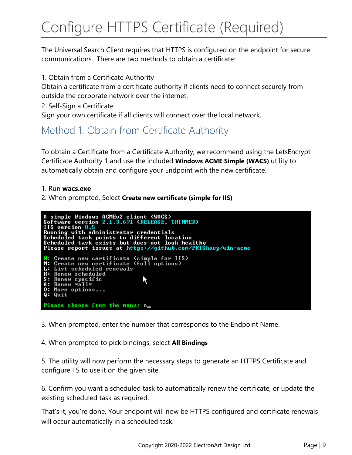# <span id="page-9-0"></span>Configure HTTPS Certificate (Required)

The Universal Search Client requires that HTTPS is configured on the endpoint for secure communications. There are two methods to obtain a certificate:

1. Obtain from a Certificate Authority

Obtain a certificate from a certificate authority if clients need to connect securely from outside the corporate network over the internet.

2. Self-Sign a Certificate

Sign your own certificate if all clients will connect over the local network.

# <span id="page-9-1"></span>Method 1. Obtain from Certificate Authority

To obtain a Certificate from a Certificate Authority, we recommend using the LetsEncrypt Certificate Authority 1 and use the included **Windows ACME Simple (WACS)** utility to automatically obtain and configure your Endpoint with the new certificate.

#### 1. Run **wacs.exe**

2. When prompted, Select **Create new certificate (simple for IIS)**



3. When prompted, enter the number that corresponds to the Endpoint Name.

4. When prompted to pick bindings, select **All Bindings**

5. The utility will now perform the necessary steps to generate an HTTPS Certificate and configure IIS to use it on the given site.

6. Confirm you want a scheduled task to automatically renew the certificate, or update the existing scheduled task as required.

That's it, you're done. Your endpoint will now be HTTPS configured and certificate renewals will occur automatically in a scheduled task.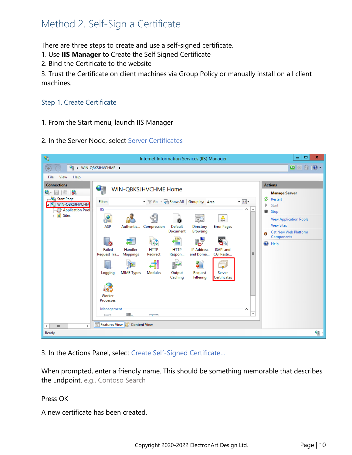# <span id="page-10-0"></span>Method 2. Self-Sign a Certificate

There are three steps to create and use a self-signed certificate.

- 1. Use **IIS Manager** to Create the Self Signed Certificate
- 2. Bind the Certificate to the website

3. Trust the Certificate on client machines via Group Policy or manually install on all client machines.

### <span id="page-10-1"></span>Step 1. Create Certificate

- 1. From the Start menu, launch IIS Manager
- 2. In the Server Node, select Server Certificates



3. In the Actions Panel, select Create Self-Signed Certificate…

When prompted, enter a friendly name. This should be something memorable that describes the Endpoint. e.g., Contoso Search

#### Press OK

A new certificate has been created.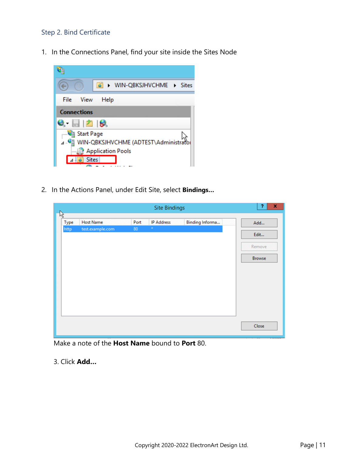## <span id="page-11-0"></span>Step 2. Bind Certificate

1. In the Connections Panel, find your site inside the Sites Node



2. In the Actions Panel, under Edit Site, select **Bindings…**

|                     |                                      |      | <b>Site Bindings</b> |                 | 2<br>x |
|---------------------|--------------------------------------|------|----------------------|-----------------|--------|
| 咚                   |                                      | Port | <b>IP Address</b>    |                 |        |
| <b>Type</b><br>http | <b>Host Name</b><br>test.example.com | 80   | $\star$              | Binding Informa | Add    |
|                     |                                      |      |                      |                 | Edit   |
|                     |                                      |      |                      |                 | Remove |
|                     |                                      |      |                      |                 | Browse |
|                     |                                      |      |                      |                 |        |
|                     |                                      |      |                      |                 |        |
|                     |                                      |      |                      |                 |        |
|                     |                                      |      |                      |                 |        |
|                     |                                      |      |                      |                 |        |
|                     |                                      |      |                      |                 |        |
|                     |                                      |      |                      |                 | Close  |

Make a note of the **Host Name** bound to **Port** 80.

3. Click **Add…**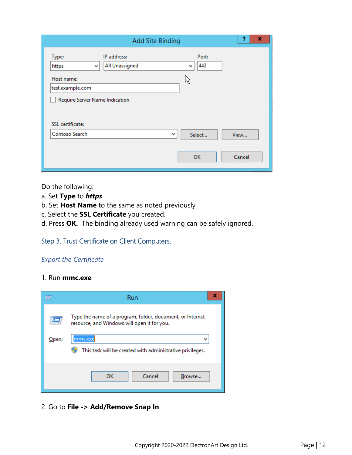|                                                                                         | <b>Add Site Binding</b>       |                        | ?<br>×         |
|-----------------------------------------------------------------------------------------|-------------------------------|------------------------|----------------|
| Type:<br>https<br>v<br>Host name:<br>test.example.com<br>Require Server Name Indication | IP address:<br>All Unassigned | Port:<br>443<br>v<br>ĸ |                |
| <b>SSL</b> certificate:<br>Contoso Search                                               | ٧                             | Select<br><b>OK</b>    | View<br>Cancel |

Do the following:

- a. Set **Type** to *https*
- b. Set **Host Name** to the same as noted previously
- c. Select the **SSL Certificate** you created.
- d. Press **OK.** The binding already used warning can be safely ignored.

Step 3. Trust Certificate on Client Computers.

### *Export the Certificate*

#### 1. Run **mmc.exe**

| E        | Run                                                                                                      |
|----------|----------------------------------------------------------------------------------------------------------|
|          | Type the name of a program, folder, document, or Internet<br>resource, and Windows will open it for you. |
| $O$ pen: | mmc.exe<br>w<br>This task will be created with administrative privileges.                                |
|          | Cancel<br>ок<br>Browse                                                                                   |

2. Go to **File -> Add/Remove Snap In**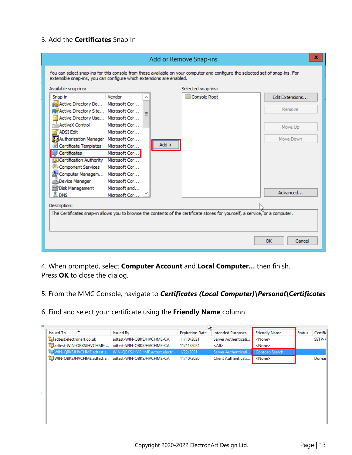## 3. Add the **Certificates** Snap In

| Vendor<br>Snap-in<br>Active Directory Do<br>圓層 Active Directory Site Microsoft Cor<br>Active Directory Use Microsoft Cor | Microsoft Cor |          | Console Root | <b>Edit Extensions</b> |
|--------------------------------------------------------------------------------------------------------------------------|---------------|----------|--------------|------------------------|
|                                                                                                                          |               |          |              |                        |
|                                                                                                                          |               |          |              | Remove                 |
|                                                                                                                          |               | $\equiv$ |              |                        |
| <b>ActiveX Control</b>                                                                                                   | Microsoft Cor |          |              |                        |
| <b>ADSI Edit</b>                                                                                                         | Microsoft Cor |          |              | Move Up                |
| <b>A.</b> Authorization Manager                                                                                          | Microsoft Cor |          |              | Move Down              |
| Certificate Templates                                                                                                    | Microsoft Cor | $Add$ >  |              |                        |
| Certificates                                                                                                             | Microsoft Cor |          |              |                        |
| <b>La Certification Authority</b>                                                                                        | Microsoft Cor |          |              |                        |
| Component Services                                                                                                       | Microsoft Cor |          |              |                        |
| Computer Managem                                                                                                         | Microsoft Cor |          |              |                        |
| Device Manager                                                                                                           | Microsoft Cor |          |              |                        |
| Disk Management                                                                                                          | Microsoft and |          |              |                        |
| $m2$ DNS                                                                                                                 | Microsoft Cor |          |              | Advanced               |
|                                                                                                                          |               |          |              |                        |
| Description:                                                                                                             |               |          |              |                        |

4. When prompted, select **Computer Account** and **Local Computer…** then finish. Press **OK** to close the dialog.

5. From the MMC Console, navigate to *Certificates (Local Computer)\Personal\Certificates*

6. Find and select your certificate using the **Friendly Name** column

| ÷                                                  |                                                                       | ΥP                     |                          |                      |               |          |
|----------------------------------------------------|-----------------------------------------------------------------------|------------------------|--------------------------|----------------------|---------------|----------|
| ▴<br><b>Issued To</b>                              | <b>Issued By</b>                                                      | <b>Expiration Date</b> | <b>Intended Purposes</b> | <b>Friendly Name</b> | <b>Status</b> | Certific |
| adtest.electronart.co.uk                           | adtest-WIN-QBKSJHVCHME-CA                                             | 11/10/2021             | Server Authenticati      | <none></none>        |               | SSTP-N   |
| adtest-WIN-QBKSJHVCHME-                            | adtest-WIN-QBKSJHVCHME-CA                                             | 11/11/2024             | <all></all>              | <none></none>        |               |          |
|                                                    | <mark>河</mark> WIN-QBKSJHVCHME.adtest.e WIN-QBKSJHVCHME.adtest.electr | 1/22/2021              | Server Authenticati      | Contoso Search       |               |          |
| WIN-QBKSJHVCHME.adtest.e adtest-WIN-QBKSJHVCHME-CA |                                                                       | 11/10/2020             | Client Authenticati      | <none></none>        |               | Domail   |
|                                                    |                                                                       |                        |                          |                      |               |          |
|                                                    |                                                                       |                        |                          |                      |               |          |
|                                                    |                                                                       |                        |                          |                      |               |          |
|                                                    |                                                                       |                        |                          |                      |               |          |
| ÷                                                  |                                                                       |                        |                          |                      |               |          |
|                                                    |                                                                       |                        |                          |                      |               |          |
|                                                    |                                                                       |                        |                          |                      |               |          |
|                                                    |                                                                       |                        |                          |                      |               |          |
|                                                    |                                                                       |                        |                          |                      |               |          |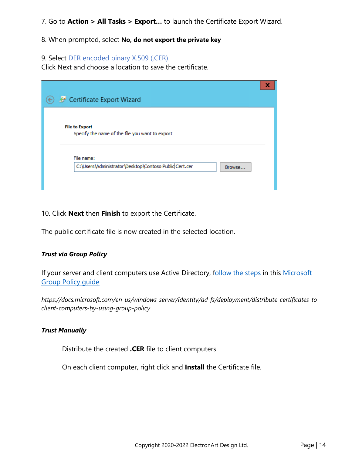7. Go to **Action > All Tasks > Export…** to launch the Certificate Export Wizard.

### 8. When prompted, select **No, do not export the private key**

#### 9. Select DER encoded binary X.509 (.CER).

Click Next and choose a location to save the certificate.

|                                                                          | x      |
|--------------------------------------------------------------------------|--------|
| Certificate Export Wizard<br>$\left( \leftarrow \right)$                 |        |
| <b>File to Export</b><br>Specify the name of the file you want to export |        |
| File name:<br>C:\Users\Administrator\Desktop\Contoso Public Cert.cer     | Browse |

10. Click **Next** then **Finish** to export the Certificate.

The public certificate file is now created in the selected location.

#### *Trust via Group Policy*

If your server and client computers use Active Directory, follow the steps in this Microsoft [Group Policy guide](https://docs.microsoft.com/en-us/windows-server/identity/ad-fs/deployment/distribute-certificates-to-client-computers-by-using-group-policy)

*https://docs.microsoft.com/en-us/windows-server/identity/ad-fs/deployment/distribute-certificates-toclient-computers-by-using-group-policy* 

#### *Trust Manually*

Distribute the created **.CER** file to client computers.

On each client computer, right click and **Install** the Certificate file.